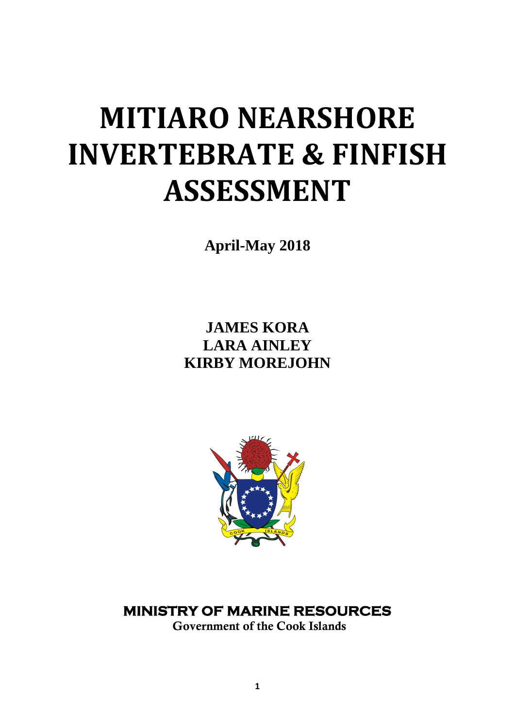# **MITIARO NEARSHORE INVERTEBRATE & FINFISH ASSESSMENT**

**April-May 2018**

**JAMES KORA LARA AINLEY KIRBY MOREJOHN**



# **MINISTRY OF MARINE RESOURCES**

 **Government of the Cook Islands**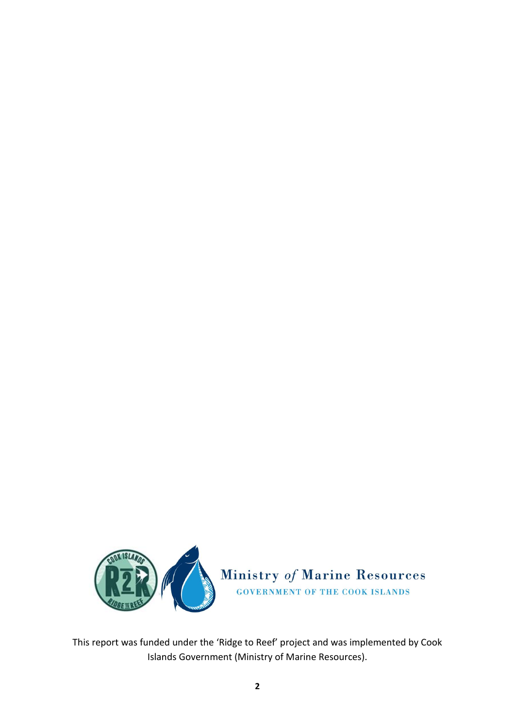

This report was funded under the 'Ridge to Reef' project and was implemented by Cook Islands Government (Ministry of Marine Resources).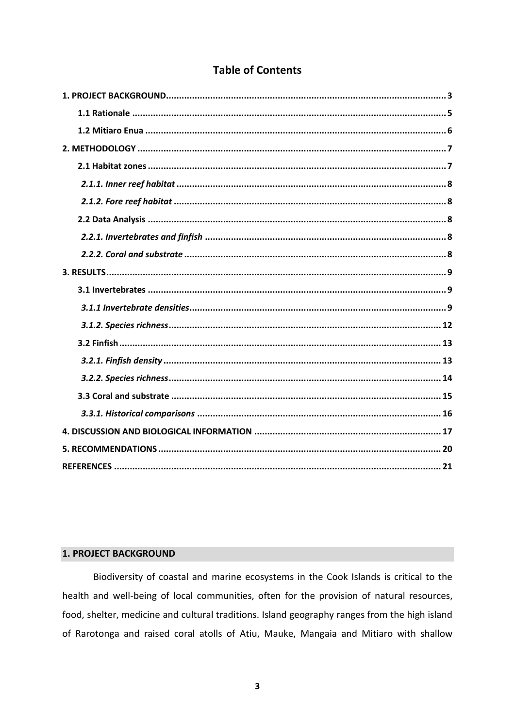# **Table of Contents**

# <span id="page-2-0"></span>**1. PROJECT BACKGROUND**

Biodiversity of coastal and marine ecosystems in the Cook Islands is critical to the health and well-being of local communities, often for the provision of natural resources, food, shelter, medicine and cultural traditions. Island geography ranges from the high island of Rarotonga and raised coral atolls of Atiu, Mauke, Mangaia and Mitiaro with shallow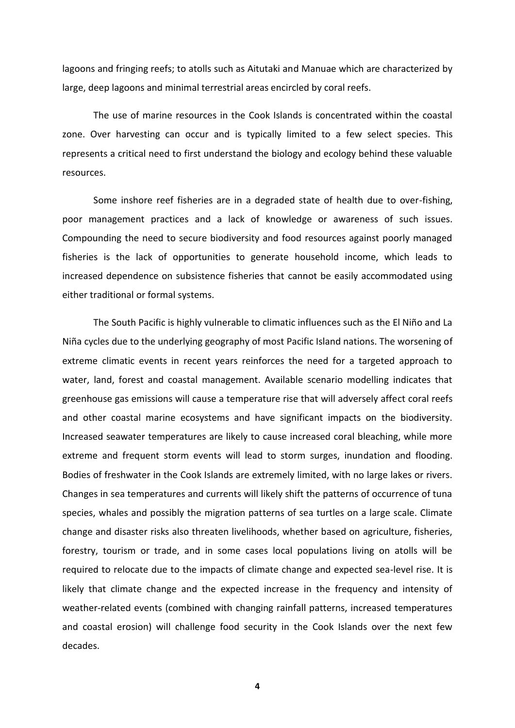lagoons and fringing reefs; to atolls such as Aitutaki and Manuae which are characterized by large, deep lagoons and minimal terrestrial areas encircled by coral reefs.

The use of marine resources in the Cook Islands is concentrated within the coastal zone. Over harvesting can occur and is typically limited to a few select species. This represents a critical need to first understand the biology and ecology behind these valuable resources.

Some inshore reef fisheries are in a degraded state of health due to over-fishing, poor management practices and a lack of knowledge or awareness of such issues. Compounding the need to secure biodiversity and food resources against poorly managed fisheries is the lack of opportunities to generate household income, which leads to increased dependence on subsistence fisheries that cannot be easily accommodated using either traditional or formal systems.

The South Pacific is highly vulnerable to climatic influences such as the El Niño and La Niña cycles due to the underlying geography of most Pacific Island nations. The worsening of extreme climatic events in recent years reinforces the need for a targeted approach to water, land, forest and coastal management. Available scenario modelling indicates that greenhouse gas emissions will cause a temperature rise that will adversely affect coral reefs and other coastal marine ecosystems and have significant impacts on the biodiversity. Increased seawater temperatures are likely to cause increased coral bleaching, while more extreme and frequent storm events will lead to storm surges, inundation and flooding. Bodies of freshwater in the Cook Islands are extremely limited, with no large lakes or rivers. Changes in sea temperatures and currents will likely shift the patterns of occurrence of tuna species, whales and possibly the migration patterns of sea turtles on a large scale. Climate change and disaster risks also threaten livelihoods, whether based on agriculture, fisheries, forestry, tourism or trade, and in some cases local populations living on atolls will be required to relocate due to the impacts of climate change and expected sea-level rise. It is likely that climate change and the expected increase in the frequency and intensity of weather-related events (combined with changing rainfall patterns, increased temperatures and coastal erosion) will challenge food security in the Cook Islands over the next few decades.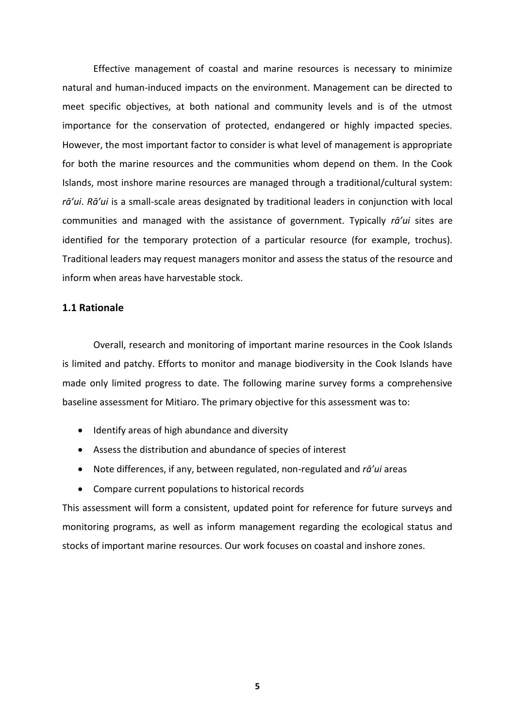Effective management of coastal and marine resources is necessary to minimize natural and human-induced impacts on the environment. Management can be directed to meet specific objectives, at both national and community levels and is of the utmost importance for the conservation of protected, endangered or highly impacted species. However, the most important factor to consider is what level of management is appropriate for both the marine resources and the communities whom depend on them. In the Cook Islands, most inshore marine resources are managed through a traditional/cultural system: *rā'ui*. *Rā'ui* is a small-scale areas designated by traditional leaders in conjunction with local communities and managed with the assistance of government. Typically *rā'ui* sites are identified for the temporary protection of a particular resource (for example, trochus). Traditional leaders may request managers monitor and assess the status of the resource and inform when areas have harvestable stock.

# <span id="page-4-0"></span>**1.1 Rationale**

Overall, research and monitoring of important marine resources in the Cook Islands is limited and patchy. Efforts to monitor and manage biodiversity in the Cook Islands have made only limited progress to date. The following marine survey forms a comprehensive baseline assessment for Mitiaro. The primary objective for this assessment was to:

- Identify areas of high abundance and diversity
- Assess the distribution and abundance of species of interest
- Note differences, if any, between regulated, non-regulated and *rā'ui* areas
- Compare current populations to historical records

This assessment will form a consistent, updated point for reference for future surveys and monitoring programs, as well as inform management regarding the ecological status and stocks of important marine resources. Our work focuses on coastal and inshore zones.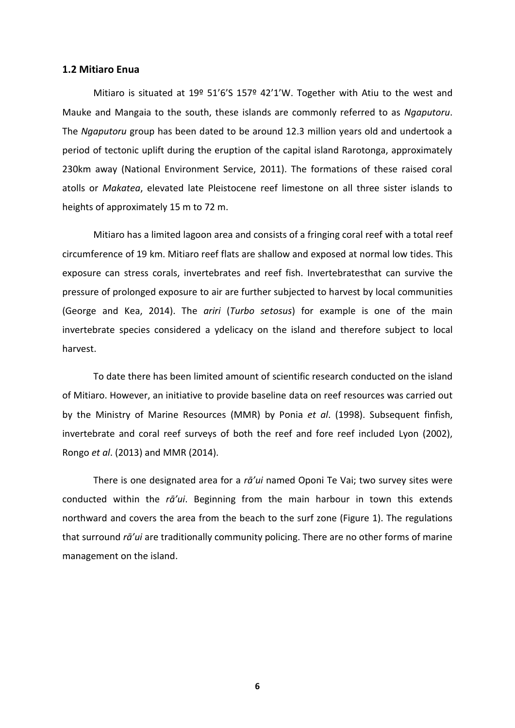#### <span id="page-5-0"></span>**1.2 Mitiaro Enua**

Mitiaro is situated at 19º 51'6'S 157º 42'1'W. Together with Atiu to the west and Mauke and Mangaia to the south, these islands are commonly referred to as *Ngaputoru*. The *Ngaputoru* group has been dated to be around 12.3 million years old and undertook a period of tectonic uplift during the eruption of the capital island Rarotonga, approximately 230km away (National Environment Service, 2011). The formations of these raised coral atolls or *Makatea*, elevated late Pleistocene reef limestone on all three sister islands to heights of approximately 15 m to 72 m.

Mitiaro has a limited lagoon area and consists of a fringing coral reef with a total reef circumference of 19 km. Mitiaro reef flats are shallow and exposed at normal low tides. This exposure can stress corals, invertebrates and reef fish. Invertebratesthat can survive the pressure of prolonged exposure to air are further subjected to harvest by local communities (George and Kea, 2014). The *ariri* (*Turbo setosus*) for example is one of the main invertebrate species considered a ydelicacy on the island and therefore subject to local harvest.

To date there has been limited amount of scientific research conducted on the island of Mitiaro. However, an initiative to provide baseline data on reef resources was carried out by the Ministry of Marine Resources (MMR) by Ponia *et al*. (1998). Subsequent finfish, invertebrate and coral reef surveys of both the reef and fore reef included Lyon (2002), Rongo *et al*. (2013) and MMR (2014).

There is one designated area for a *rā'ui* named Oponi Te Vai; two survey sites were conducted within the *rā'ui*. Beginning from the main harbour in town this extends northward and covers the area from the beach to the surf zone (Figure 1). The regulations that surround *rā'ui* are traditionally community policing. There are no other forms of marine management on the island.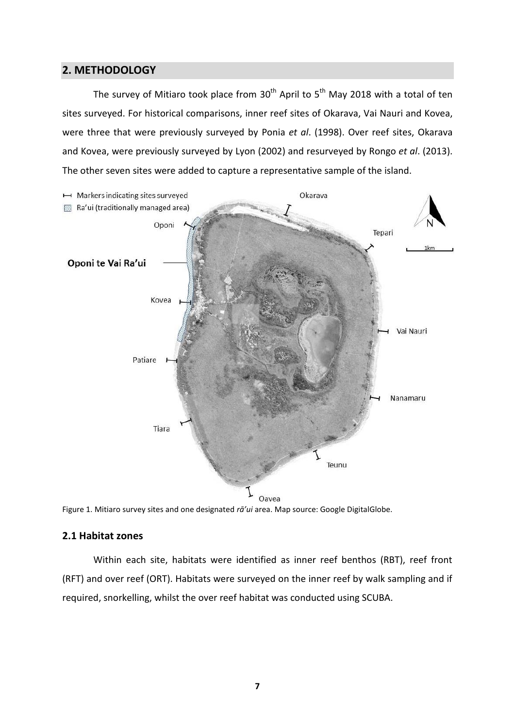# <span id="page-6-0"></span>**2. METHODOLOGY**

The survey of Mitiaro took place from  $30<sup>th</sup>$  April to  $5<sup>th</sup>$  May 2018 with a total of ten sites surveyed. For historical comparisons, inner reef sites of Okarava, Vai Nauri and Kovea, were three that were previously surveyed by Ponia *et al*. (1998). Over reef sites, Okarava and Kovea, were previously surveyed by Lyon (2002) and resurveyed by Rongo *et al*. (2013). The other seven sites were added to capture a representative sample of the island.



Figure 1. Mitiaro survey sites and one designated *rā'ui* area. Map source: Google DigitalGlobe.

# <span id="page-6-1"></span>**2.1 Habitat zones**

Within each site, habitats were identified as inner reef benthos (RBT), reef front (RFT) and over reef (ORT). Habitats were surveyed on the inner reef by walk sampling and if required, snorkelling, whilst the over reef habitat was conducted using SCUBA.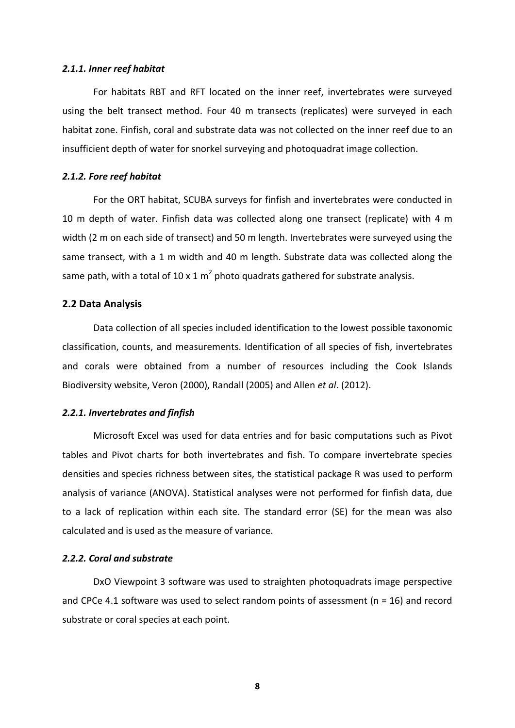#### <span id="page-7-0"></span>*2.1.1. Inner reef habitat*

For habitats RBT and RFT located on the inner reef, invertebrates were surveyed using the belt transect method. Four 40 m transects (replicates) were surveyed in each habitat zone. Finfish, coral and substrate data was not collected on the inner reef due to an insufficient depth of water for snorkel surveying and photoquadrat image collection.

#### <span id="page-7-1"></span>*2.1.2. Fore reef habitat*

For the ORT habitat, SCUBA surveys for finfish and invertebrates were conducted in 10 m depth of water. Finfish data was collected along one transect (replicate) with 4 m width (2 m on each side of transect) and 50 m length. Invertebrates were surveyed using the same transect, with a 1 m width and 40 m length. Substrate data was collected along the same path, with a total of 10 x 1 m<sup>2</sup> photo quadrats gathered for substrate analysis.

### <span id="page-7-2"></span>**2.2 Data Analysis**

Data collection of all species included identification to the lowest possible taxonomic classification, counts, and measurements. Identification of all species of fish, invertebrates and corals were obtained from a number of resources including the Cook Islands Biodiversity website, Veron (2000), Randall (2005) and Allen *et al*. (2012).

#### <span id="page-7-3"></span>*2.2.1. Invertebrates and finfish*

Microsoft Excel was used for data entries and for basic computations such as Pivot tables and Pivot charts for both invertebrates and fish. To compare invertebrate species densities and species richness between sites, the statistical package R was used to perform analysis of variance (ANOVA). Statistical analyses were not performed for finfish data, due to a lack of replication within each site. The standard error (SE) for the mean was also calculated and is used as the measure of variance.

### <span id="page-7-4"></span>*2.2.2. Coral and substrate*

DxO Viewpoint 3 software was used to straighten photoquadrats image perspective and CPCe 4.1 software was used to select random points of assessment ( $n = 16$ ) and record substrate or coral species at each point.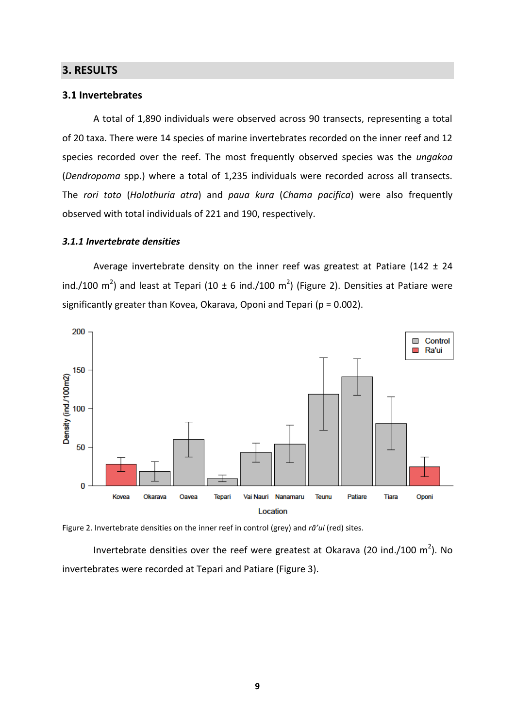# <span id="page-8-0"></span>**3. RESULTS**

#### <span id="page-8-1"></span>**3.1 Invertebrates**

A total of 1,890 individuals were observed across 90 transects, representing a total of 20 taxa. There were 14 species of marine invertebrates recorded on the inner reef and 12 species recorded over the reef. The most frequently observed species was the *ungakoa* (*Dendropoma* spp.) where a total of 1,235 individuals were recorded across all transects. The *rori toto* (*Holothuria atra*) and *paua kura* (*Chama pacifica*) were also frequently observed with total individuals of 221 and 190, respectively.

### <span id="page-8-2"></span>*3.1.1 Invertebrate densities*

Average invertebrate density on the inner reef was greatest at Patiare (142  $\pm$  24 ind./100 m<sup>2</sup>) and least at Tepari (10  $\pm$  6 ind./100 m<sup>2</sup>) (Figure 2). Densities at Patiare were significantly greater than Kovea, Okarava, Oponi and Tepari (p = 0.002).





Invertebrate densities over the reef were greatest at Okarava (20 ind./100  $m^2$ ). No invertebrates were recorded at Tepari and Patiare (Figure 3).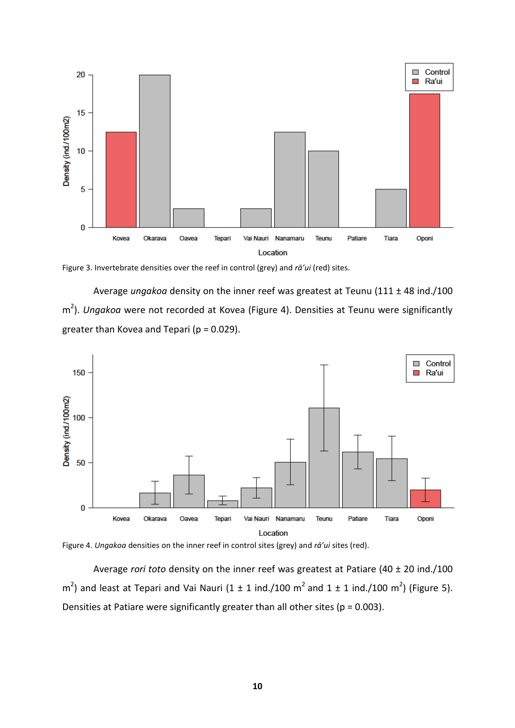

Figure 3. Invertebrate densities over the reef in control (grey) and *rā'ui* (red) sites.

Average *ungakoa* density on the inner reef was greatest at Teunu (111 ± 48 ind./100 m 2 ). *Ungakoa* were not recorded at Kovea (Figure 4). Densities at Teunu were significantly greater than Kovea and Tepari ( $p = 0.029$ ).



Figure 4. *Ungakoa* densities on the inner reef in control sites (grey) and *rā'ui* sites (red).

Average *rori toto* density on the inner reef was greatest at Patiare (40 ± 20 ind./100  $\text{m}^2$ ) and least at Tepari and Vai Nauri (1 ± 1 ind./100 m<sup>2</sup> and 1 ± 1 ind./100 m<sup>2</sup>) (Figure 5). Densities at Patiare were significantly greater than all other sites ( $p = 0.003$ ).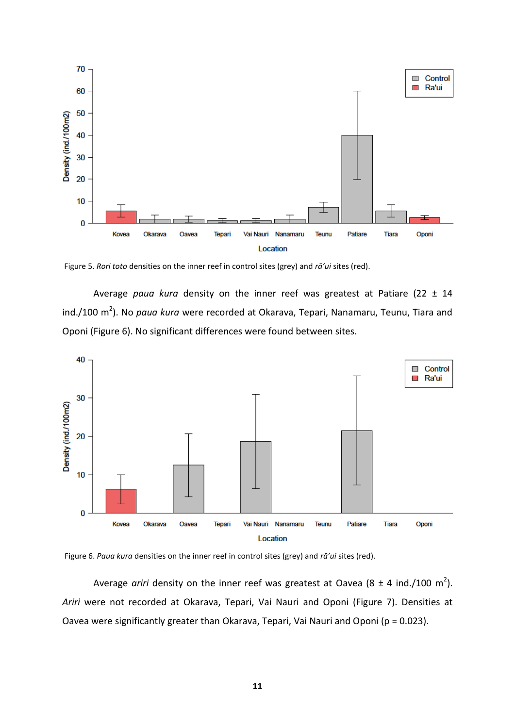

Figure 5. *Rori toto* densities on the inner reef in control sites (grey) and *rā'ui* sites (red).

Average *paua kura* density on the inner reef was greatest at Patiare (22 ± 14 ind./100 m 2 ). No *paua kura* were recorded at Okarava, Tepari, Nanamaru, Teunu, Tiara and Oponi (Figure 6). No significant differences were found between sites.





Average *ariri* density on the inner reef was greatest at Oavea (8  $\pm$  4 ind./100 m<sup>2</sup>). *Ariri* were not recorded at Okarava, Tepari, Vai Nauri and Oponi (Figure 7). Densities at Oavea were significantly greater than Okarava, Tepari, Vai Nauri and Oponi (p = 0.023).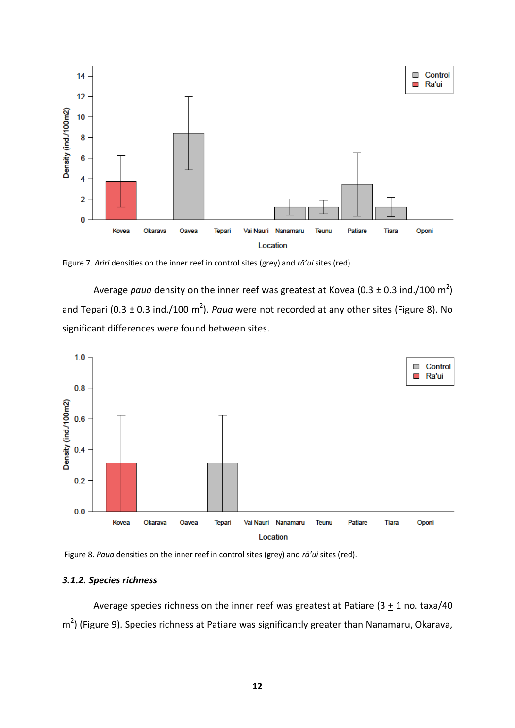

Figure 7. *Ariri* densities on the inner reef in control sites (grey) and *rā'ui* sites (red).

Average *paua* density on the inner reef was greatest at Kovea (0.3  $\pm$  0.3 ind./100 m<sup>2</sup>) and Tepari (0.3  $\pm$  0.3 ind./100 m<sup>2</sup>). *Paua* were not recorded at any other sites (Figure 8). No significant differences were found between sites.



Figure 8. *Paua* densities on the inner reef in control sites (grey) and *rā'ui* sites (red).

# <span id="page-11-0"></span>*3.1.2. Species richness*

Average species richness on the inner reef was greatest at Patiare  $(3 + 1)$  no. taxa/40 m<sup>2</sup>) (Figure 9). Species richness at Patiare was significantly greater than Nanamaru, Okarava,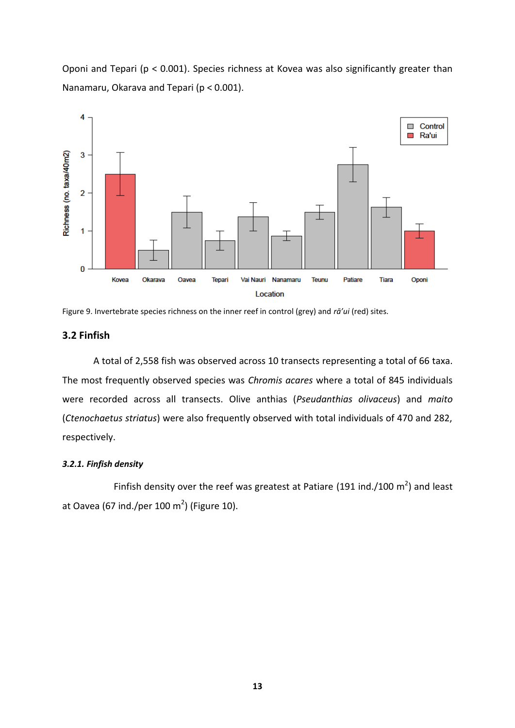Oponi and Tepari (p < 0.001). Species richness at Kovea was also significantly greater than Nanamaru, Okarava and Tepari (p < 0.001).



Figure 9. Invertebrate species richness on the inner reef in control (grey) and *rā'ui* (red) sites.

# <span id="page-12-0"></span>**3.2 Finfish**

A total of 2,558 fish was observed across 10 transects representing a total of 66 taxa. The most frequently observed species was *Chromis acares* where a total of 845 individuals were recorded across all transects. Olive anthias (*Pseudanthias olivaceus*) and *maito* (*Ctenochaetus striatus*) were also frequently observed with total individuals of 470 and 282, respectively.

#### <span id="page-12-1"></span>*3.2.1. Finfish density*

Finfish density over the reef was greatest at Patiare (191 ind./100  $m^2$ ) and least at Oavea (67 ind./per 100 m<sup>2</sup>) (Figure 10).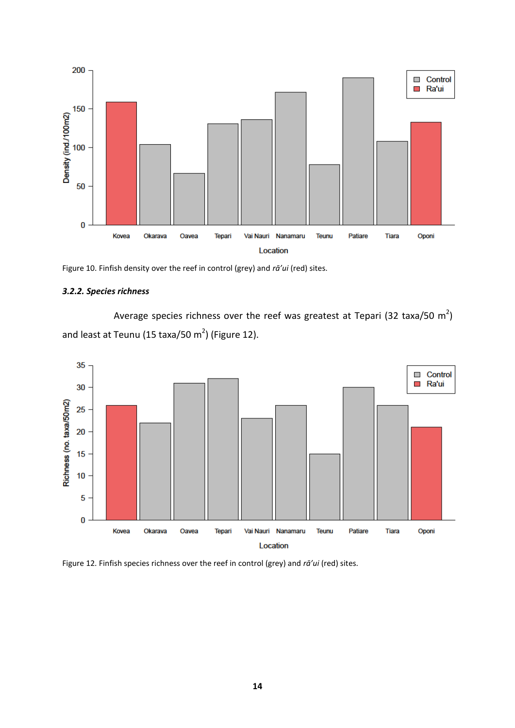

Figure 10. Finfish density over the reef in control (grey) and *rā'ui* (red) sites.

# <span id="page-13-0"></span>*3.2.2. Species richness*

Average species richness over the reef was greatest at Tepari (32 taxa/50  $\mathrm{m}^{2}\mathrm{)}$ and least at Teunu (15 taxa/50 m<sup>2</sup>) (Figure 12).



Figure 12. Finfish species richness over the reef in control (grey) and *rā'ui* (red) sites.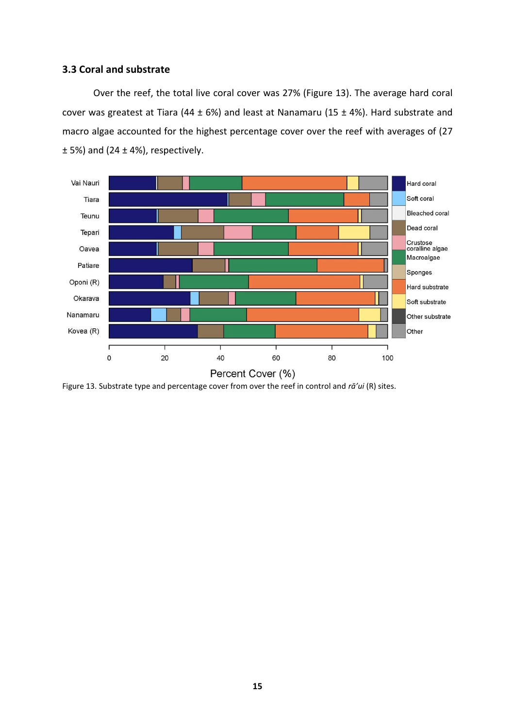# <span id="page-14-0"></span>**3.3 Coral and substrate**

Over the reef, the total live coral cover was 27% (Figure 13). The average hard coral cover was greatest at Tiara (44  $\pm$  6%) and least at Nanamaru (15  $\pm$  4%). Hard substrate and macro algae accounted for the highest percentage cover over the reef with averages of (27  $\pm$  5%) and (24  $\pm$  4%), respectively.



Figure 13. Substrate type and percentage cover from over the reef in control and *rā'ui* (R) sites.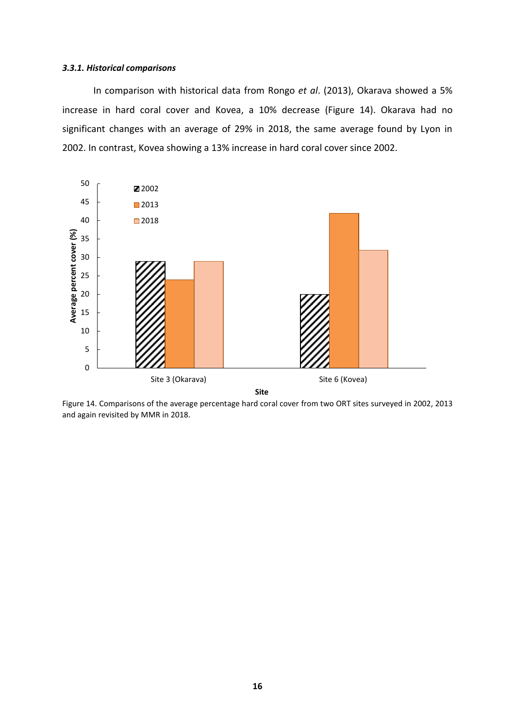#### <span id="page-15-0"></span>*3.3.1. Historical comparisons*

In comparison with historical data from Rongo *et al*. (2013), Okarava showed a 5% increase in hard coral cover and Kovea, a 10% decrease (Figure 14). Okarava had no significant changes with an average of 29% in 2018, the same average found by Lyon in 2002. In contrast, Kovea showing a 13% increase in hard coral cover since 2002.



Figure 14. Comparisons of the average percentage hard coral cover from two ORT sites surveyed in 2002, 2013 and again revisited by MMR in 2018.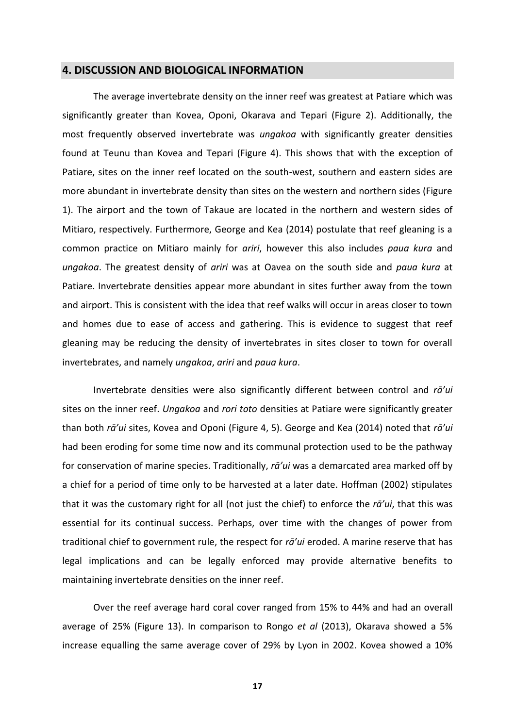# <span id="page-16-0"></span>**4. DISCUSSION AND BIOLOGICAL INFORMATION**

The average invertebrate density on the inner reef was greatest at Patiare which was significantly greater than Kovea, Oponi, Okarava and Tepari (Figure 2). Additionally, the most frequently observed invertebrate was *ungakoa* with significantly greater densities found at Teunu than Kovea and Tepari (Figure 4). This shows that with the exception of Patiare, sites on the inner reef located on the south-west, southern and eastern sides are more abundant in invertebrate density than sites on the western and northern sides (Figure 1). The airport and the town of Takaue are located in the northern and western sides of Mitiaro, respectively. Furthermore, George and Kea (2014) postulate that reef gleaning is a common practice on Mitiaro mainly for *ariri*, however this also includes *paua kura* and *ungakoa*. The greatest density of *ariri* was at Oavea on the south side and *paua kura* at Patiare. Invertebrate densities appear more abundant in sites further away from the town and airport. This is consistent with the idea that reef walks will occur in areas closer to town and homes due to ease of access and gathering. This is evidence to suggest that reef gleaning may be reducing the density of invertebrates in sites closer to town for overall invertebrates, and namely *ungakoa*, *ariri* and *paua kura*.

Invertebrate densities were also significantly different between control and *rā'ui* sites on the inner reef. *Ungakoa* and *rori toto* densities at Patiare were significantly greater than both *rā'ui* sites, Kovea and Oponi (Figure 4, 5). George and Kea (2014) noted that *rā'ui* had been eroding for some time now and its communal protection used to be the pathway for conservation of marine species. Traditionally, *rā'ui* was a demarcated area marked off by a chief for a period of time only to be harvested at a later date. Hoffman (2002) stipulates that it was the customary right for all (not just the chief) to enforce the *rā'ui*, that this was essential for its continual success. Perhaps, over time with the changes of power from traditional chief to government rule, the respect for *rā'ui* eroded. A marine reserve that has legal implications and can be legally enforced may provide alternative benefits to maintaining invertebrate densities on the inner reef.

Over the reef average hard coral cover ranged from 15% to 44% and had an overall average of 25% (Figure 13). In comparison to Rongo *et al* (2013), Okarava showed a 5% increase equalling the same average cover of 29% by Lyon in 2002. Kovea showed a 10%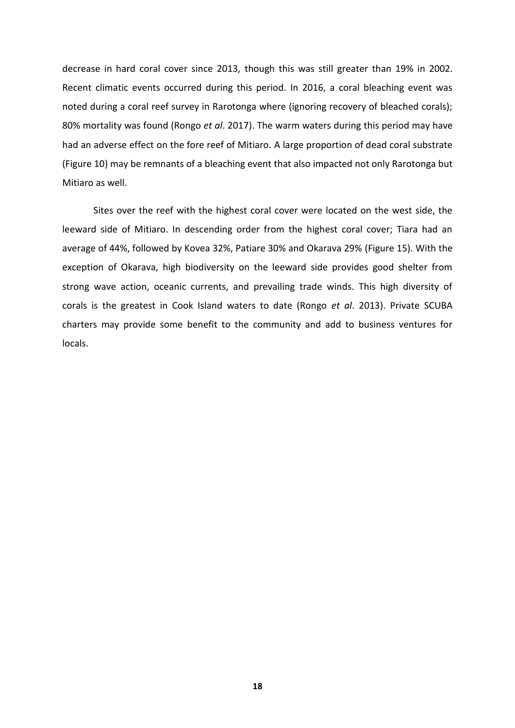decrease in hard coral cover since 2013, though this was still greater than 19% in 2002. Recent climatic events occurred during this period. In 2016, a coral bleaching event was noted during a coral reef survey in Rarotonga where (ignoring recovery of bleached corals); 80% mortality was found (Rongo *et al*. 2017). The warm waters during this period may have had an adverse effect on the fore reef of Mitiaro. A large proportion of dead coral substrate (Figure 10) may be remnants of a bleaching event that also impacted not only Rarotonga but Mitiaro as well.

Sites over the reef with the highest coral cover were located on the west side, the leeward side of Mitiaro. In descending order from the highest coral cover; Tiara had an average of 44%, followed by Kovea 32%, Patiare 30% and Okarava 29% (Figure 15). With the exception of Okarava, high biodiversity on the leeward side provides good shelter from strong wave action, oceanic currents, and prevailing trade winds. This high diversity of corals is the greatest in Cook Island waters to date (Rongo *et al*. 2013). Private SCUBA charters may provide some benefit to the community and add to business ventures for locals.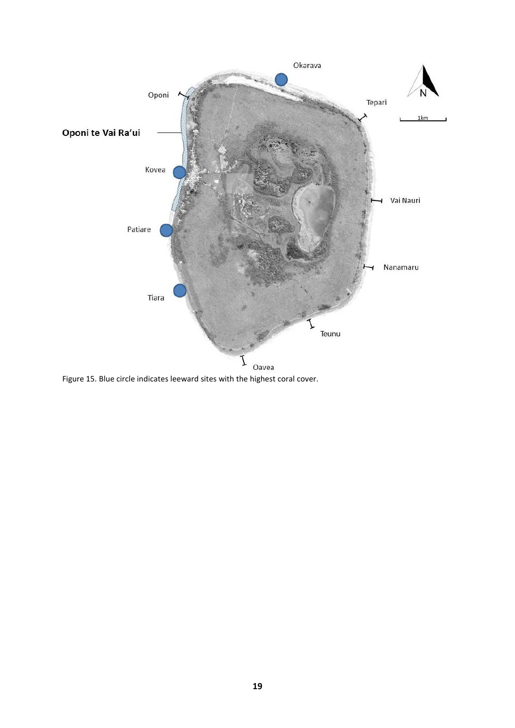

Figure 15. Blue circle indicates leeward sites with the highest coral cover.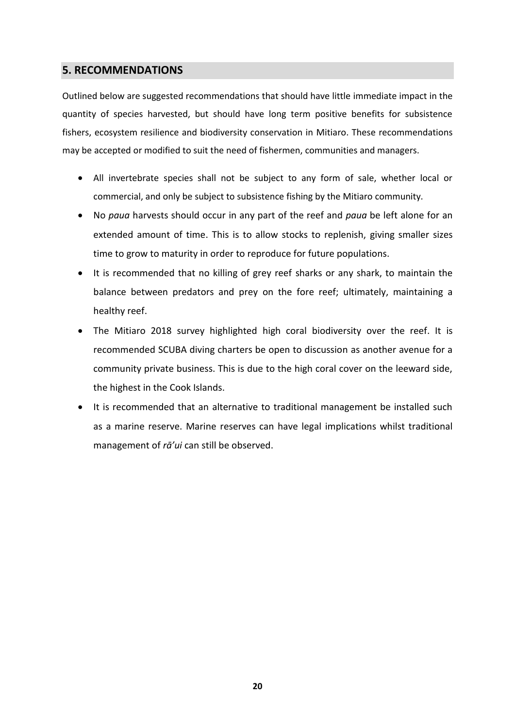# <span id="page-19-0"></span>**5. RECOMMENDATIONS**

Outlined below are suggested recommendations that should have little immediate impact in the quantity of species harvested, but should have long term positive benefits for subsistence fishers, ecosystem resilience and biodiversity conservation in Mitiaro. These recommendations may be accepted or modified to suit the need of fishermen, communities and managers.

- All invertebrate species shall not be subject to any form of sale, whether local or commercial, and only be subject to subsistence fishing by the Mitiaro community.
- No *paua* harvests should occur in any part of the reef and *paua* be left alone for an extended amount of time. This is to allow stocks to replenish, giving smaller sizes time to grow to maturity in order to reproduce for future populations.
- It is recommended that no killing of grey reef sharks or any shark, to maintain the balance between predators and prey on the fore reef; ultimately, maintaining a healthy reef.
- The Mitiaro 2018 survey highlighted high coral biodiversity over the reef. It is recommended SCUBA diving charters be open to discussion as another avenue for a community private business. This is due to the high coral cover on the leeward side, the highest in the Cook Islands.
- It is recommended that an alternative to traditional management be installed such as a marine reserve. Marine reserves can have legal implications whilst traditional management of *rā'ui* can still be observed.